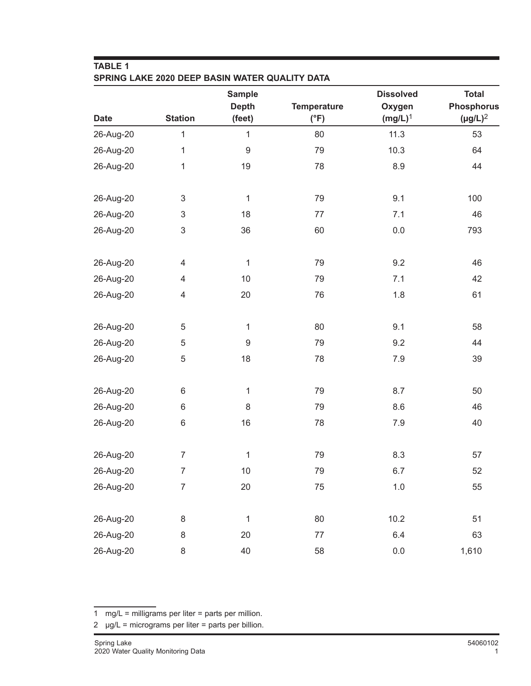| <b>TABLE 1</b><br>SPRING LAKE 2020 DEEP BASIN WATER QUALITY DATA |                |                               |                    |                            |                                   |  |  |
|------------------------------------------------------------------|----------------|-------------------------------|--------------------|----------------------------|-----------------------------------|--|--|
|                                                                  | <b>Station</b> | <b>Sample</b><br><b>Depth</b> | <b>Temperature</b> | <b>Dissolved</b><br>Oxygen | <b>Total</b><br><b>Phosphorus</b> |  |  |
| <b>Date</b>                                                      |                | (feet)                        | $(^{\circ}F)$      | $(mg/L)^1$                 | $(\mu g/L)^2$                     |  |  |
| 26-Aug-20                                                        | 1              | $\mathbf{1}$                  | 80                 | 11.3                       | 53                                |  |  |
| 26-Aug-20                                                        | 1              | $\boldsymbol{9}$              | 79                 | 10.3                       | 64                                |  |  |
| 26-Aug-20                                                        | 1              | 19                            | 78                 | 8.9                        | 44                                |  |  |
| 26-Aug-20                                                        | $\sqrt{3}$     | 1                             | 79                 | 9.1                        | 100                               |  |  |
| 26-Aug-20                                                        | $\sqrt{3}$     | 18                            | 77                 | 7.1                        | 46                                |  |  |
| 26-Aug-20                                                        | $\sqrt{3}$     | 36                            | 60                 | 0.0                        | 793                               |  |  |
| 26-Aug-20                                                        | 4              | $\mathbf{1}$                  | 79                 | 9.2                        | 46                                |  |  |
| 26-Aug-20                                                        | 4              | 10                            | 79                 | 7.1                        | 42                                |  |  |
| 26-Aug-20                                                        | $\overline{4}$ | 20                            | 76                 | 1.8                        | 61                                |  |  |
| 26-Aug-20                                                        | 5              | $\mathbf{1}$                  | 80                 | 9.1                        | 58                                |  |  |
| 26-Aug-20                                                        | 5              | 9                             | 79                 | 9.2                        | 44                                |  |  |
| 26-Aug-20                                                        | 5              | 18                            | 78                 | 7.9                        | 39                                |  |  |
| 26-Aug-20                                                        | $\,6$          | $\mathbf{1}$                  | 79                 | 8.7                        | 50                                |  |  |
| 26-Aug-20                                                        | 6              | 8                             | 79                 | 8.6                        | 46                                |  |  |
| 26-Aug-20                                                        | $6\,$          | 16                            | 78                 | 7.9                        | 40                                |  |  |
| 26-Aug-20                                                        | $\overline{7}$ | $\mathbf 1$                   | 79                 | 8.3                        | 57                                |  |  |
| 26-Aug-20                                                        | $\overline{7}$ | 10                            | 79                 | 6.7                        | 52                                |  |  |
| 26-Aug-20                                                        | $\overline{7}$ | 20                            | 75                 | $1.0$                      | 55                                |  |  |
| 26-Aug-20                                                        | $\,8\,$        | $\mathbf{1}$                  | 80                 | 10.2                       | 51                                |  |  |
| 26-Aug-20                                                        | $\,8\,$        | 20                            | $77\,$             | 6.4                        | 63                                |  |  |
| 26-Aug-20                                                        | 8              | 40                            | 58                 | $0.0\,$                    | 1,610                             |  |  |

<sup>1</sup> mg/L = milligrams per liter = parts per million.

<sup>2</sup>  $\mu$ g/L = micrograms per liter = parts per billion.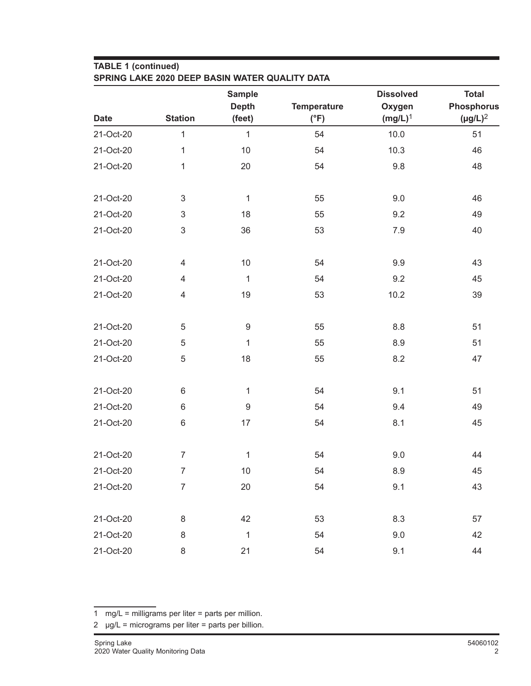## **TABLE 1 (continued)**

|             |                           | <b>Sample</b>    |                    | <b>Dissolved</b> | <b>Total</b>      |
|-------------|---------------------------|------------------|--------------------|------------------|-------------------|
|             |                           | <b>Depth</b>     | <b>Temperature</b> | Oxygen           | <b>Phosphorus</b> |
| <b>Date</b> | <b>Station</b>            | (feet)           | $(^{\circ}F)$      | $(mg/L)^1$       | $(\mu g/L)^2$     |
| 21-Oct-20   | $\mathbf{1}$              | $\mathbf{1}$     | 54                 | 10.0             | 51                |
| 21-Oct-20   | 1                         | 10               | 54                 | 10.3             | 46                |
| 21-Oct-20   | 1                         | 20               | 54                 | 9.8              | 48                |
| 21-Oct-20   | 3                         | 1                | 55                 | 9.0              | 46                |
| 21-Oct-20   | 3                         | 18               | 55                 | 9.2              | 49                |
| 21-Oct-20   | $\ensuremath{\mathsf{3}}$ | 36               | 53                 | 7.9              | 40                |
| 21-Oct-20   | $\overline{4}$            | 10               | 54                 | 9.9              | 43                |
| 21-Oct-20   | $\overline{4}$            | 1                | 54                 | 9.2              | 45                |
| 21-Oct-20   | $\overline{4}$            | 19               | 53                 | 10.2             | 39                |
| 21-Oct-20   | 5                         | $\boldsymbol{9}$ | 55                 | 8.8              | 51                |
| 21-Oct-20   | 5                         | 1                | 55                 | 8.9              | 51                |
| 21-Oct-20   | 5                         | 18               | 55                 | 8.2              | 47                |
| 21-Oct-20   | 6                         | 1                | 54                 | 9.1              | 51                |
| 21-Oct-20   | $6\,$                     | $\boldsymbol{9}$ | 54                 | 9.4              | 49                |
| 21-Oct-20   | 6                         | 17               | 54                 | 8.1              | 45                |
| 21-Oct-20   | $\overline{7}$            | $\overline{1}$   | 54                 | 9.0              | 44                |
| 21-Oct-20   | $\overline{7}$            | 10               | 54                 | 8.9              | 45                |
| 21-Oct-20   | $\overline{7}$            | 20               | 54                 | 9.1              | 43                |
| 21-Oct-20   | $\,8\,$                   | 42               | 53                 | 8.3              | 57                |

21-Oct-20 8 1 54 9.0 42 21-Oct-20 8 21 54 9.1 44

1 mg/L = milligrams per liter = parts per million.

 $2 \text{ µg/L} = \text{micrograms per liter} = \text{parts per billion}.$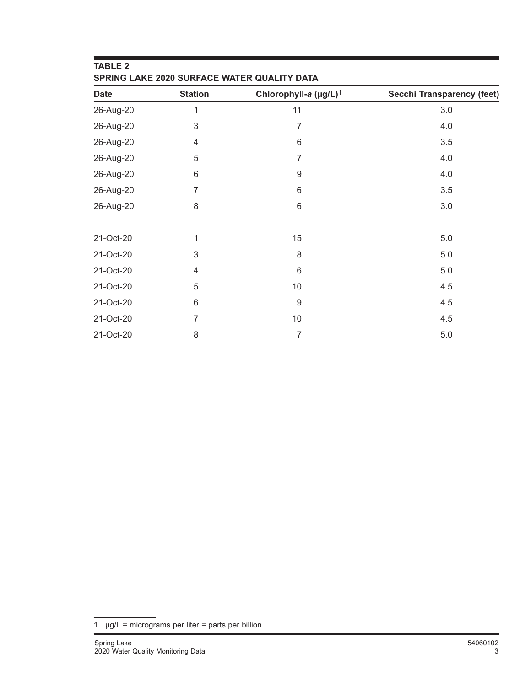| <b>TABLE 2</b><br>SPRING LAKE 2020 SURFACE WATER QUALITY DATA |                |                                   |                            |  |  |  |
|---------------------------------------------------------------|----------------|-----------------------------------|----------------------------|--|--|--|
| <b>Date</b>                                                   | <b>Station</b> | Chlorophyll-a (µg/L) <sup>1</sup> | Secchi Transparency (feet) |  |  |  |
| 26-Aug-20                                                     | 1              | 11                                | 3.0                        |  |  |  |
| 26-Aug-20                                                     | 3              | 7                                 | 4.0                        |  |  |  |
| 26-Aug-20                                                     | 4              | 6                                 | 3.5                        |  |  |  |
| 26-Aug-20                                                     | 5              | 7                                 | 4.0                        |  |  |  |
| 26-Aug-20                                                     | 6              | 9                                 | 4.0                        |  |  |  |
| 26-Aug-20                                                     | 7              | 6                                 | 3.5                        |  |  |  |
| 26-Aug-20                                                     | 8              | 6                                 | 3.0                        |  |  |  |
| 21-Oct-20                                                     | 1              | 15                                | $5.0$                      |  |  |  |
| 21-Oct-20                                                     | 3              | 8                                 | $5.0$                      |  |  |  |
| 21-Oct-20                                                     | 4              | 6                                 | $5.0$                      |  |  |  |
| 21-Oct-20                                                     | 5              | 10                                | 4.5                        |  |  |  |
| 21-Oct-20                                                     | 6              | $\boldsymbol{9}$                  | 4.5                        |  |  |  |
| 21-Oct-20                                                     | $\overline{7}$ | 10                                | 4.5                        |  |  |  |
| 21-Oct-20                                                     | 8              | 7                                 | 5.0                        |  |  |  |

1  $\mu$ g/L = micrograms per liter = parts per billion.